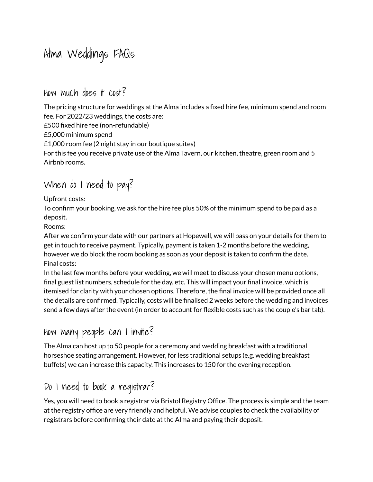# Alma Weddings FAQs

How much does it cost?

The pricing structure for weddings at the Alma includes a fixed hire fee, minimum spend and room fee. For 2022/23 weddings, the costs are: £500 fixed hire fee (non-refundable)

£5,000 minimum spend

£1,000 room fee (2 night stay in our boutique suites)

For this fee you receive private use of the Alma Tavern, our kitchen, theatre, green room and 5 Airbnb rooms.

## When do I need to pay?

Upfront costs:

To confirm your booking, we ask for the hire fee plus 50% of the minimum spend to be paid as a deposit.

Rooms:

After we confirm your date with our partners at Hopewell, we will pass on your details for them to get in touch to receive payment. Typically, payment is taken 1-2 months before the wedding, however we do block the room booking as soon as your deposit is taken to confirm the date. Final costs:

In the last few months before your wedding, we will meet to discuss your chosen menu options, final guest list numbers, schedule for the day, etc. This will impact your final invoice, which is itemised for clarity with your chosen options. Therefore, the final invoice will be provided once all the details are confirmed. Typically, costs will be finalised 2 weeks before the wedding and invoices send a few days after the event (in order to account for flexible costs such as the couple's bar tab).

## How many people can I invite?

The Alma can host up to 50 people for a ceremony and wedding breakfast with a traditional horseshoe seating arrangement. However, for less traditional setups (e.g. wedding breakfast buffets) we can increase this capacity. This increases to 150 for the evening reception.

## Do I need to book a registrar?

Yes, you will need to book a registrar via Bristol Registry Office. The process is simple and the team at the registry office are very friendly and helpful. We advise couples to check the availability of registrars before confirming their date at the Alma and paying their deposit.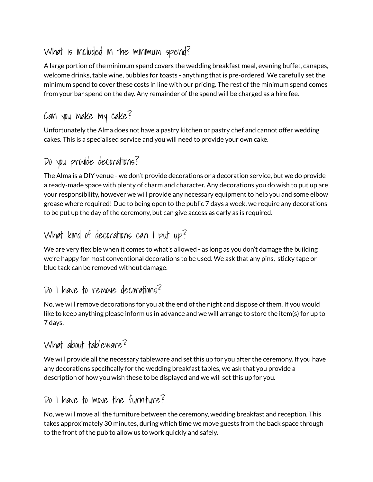#### What is included in the minimum spend?

A large portion of the minimum spend covers the wedding breakfast meal, evening buffet, canapes, welcome drinks, table wine, bubbles for toasts - anything that is pre-ordered. We carefully set the minimum spend to cover these costs in line with our pricing. The rest of the minimum spend comes from your bar spend on the day. Any remainder of the spend will be charged as a hire fee.

### Can you make my cake?

Unfortunately the Alma does not have a pastry kitchen or pastry chef and cannot offer wedding cakes. This is a specialised service and you will need to provide your own cake.

#### Do you provide decorations?

The Alma is a DIY venue - we don't provide decorations or a decoration service, but we do provide a ready-made space with plenty of charm and character. Any decorations you do wish to put up are your responsibility, however we will provide any necessary equipment to help you and some elbow grease where required! Due to being open to the public 7 days a week, we require any decorations to be put up the day of the ceremony, but can give access as early as is required.

### What kind of decorations can I put up?

We are very flexible when it comes to what's allowed - as long as you don't damage the building we're happy for most conventional decorations to be used. We ask that any pins, sticky tape or blue tack can be removed without damage.

#### Do I have to remove decorations?

No, we will remove decorations for you at the end of the night and dispose of them. If you would like to keep anything please inform us in advance and we will arrange to store the item(s) for up to 7 days.

### What about tableware?

We will provide all the necessary tableware and set this up for you after the ceremony. If you have any decorations specifically for the wedding breakfast tables, we ask that you provide a description of how you wish these to be displayed and we will set this up for you.

#### Do I have to move the furniture?

No, we will move all the furniture between the ceremony, wedding breakfast and reception. This takes approximately 30 minutes, during which time we move guests from the back space through to the front of the pub to allow us to work quickly and safely.